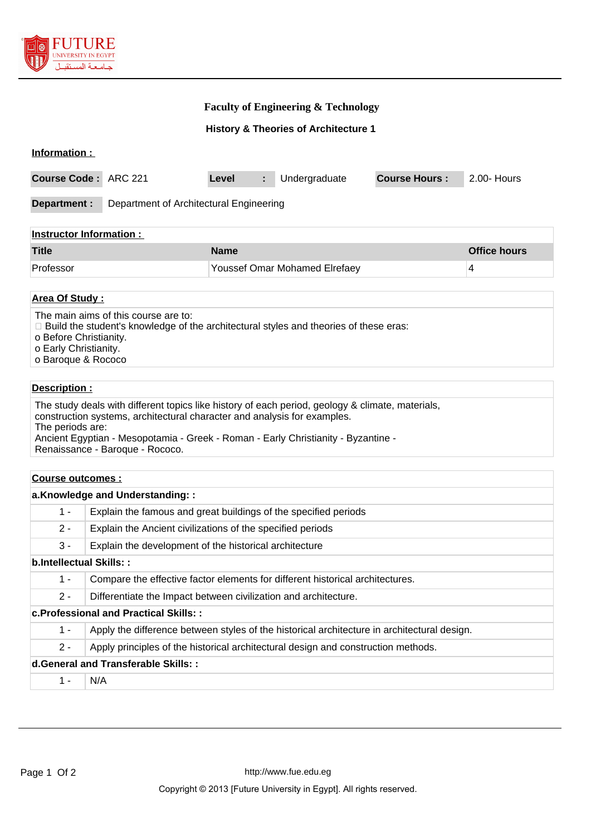

#### **Faculty of Engineering & Technology**

**History & Theories of Architecture 1**

| Information:                   |                                         |                                      |                    |  |                      |             |  |  |
|--------------------------------|-----------------------------------------|--------------------------------------|--------------------|--|----------------------|-------------|--|--|
| Course Code: ARC 221           |                                         | Level                                | Undergraduate<br>÷ |  | <b>Course Hours:</b> | 2.00- Hours |  |  |
| Department :                   | Department of Architectural Engineering |                                      |                    |  |                      |             |  |  |
| <b>Instructor Information:</b> |                                         |                                      |                    |  |                      |             |  |  |
| <b>Title</b>                   |                                         |                                      | <b>Name</b>        |  |                      |             |  |  |
| Professor                      |                                         | <b>Youssef Omar Mohamed Elrefaey</b> |                    |  | 4                    |             |  |  |
|                                |                                         |                                      |                    |  |                      |             |  |  |

#### **Area Of Study :**

The main aims of this course are to:

- Build the student's knowledge of the architectural styles and theories of these eras:
- o Before Christianity.
- o Early Christianity.
- o Baroque & Rococo

#### **Description :**

The study deals with different topics like history of each period, geology & climate, materials, construction systems, architectural character and analysis for examples. The periods are: Ancient Egyptian - Mesopotamia - Greek - Roman - Early Christianity - Byzantine - Renaissance - Baroque - Rococo.

#### **Course outcomes :**

| a.Knowledge and Understanding::              |                                                                                             |  |  |  |
|----------------------------------------------|---------------------------------------------------------------------------------------------|--|--|--|
| $1 -$                                        | Explain the famous and great buildings of the specified periods                             |  |  |  |
| $2 -$                                        | Explain the Ancient civilizations of the specified periods                                  |  |  |  |
| $3 -$                                        | Explain the development of the historical architecture                                      |  |  |  |
| b.Intellectual Skills::                      |                                                                                             |  |  |  |
| $1 -$                                        | Compare the effective factor elements for different historical architectures.               |  |  |  |
| $2 -$                                        | Differentiate the Impact between civilization and architecture.                             |  |  |  |
| <b>c.Professional and Practical Skills::</b> |                                                                                             |  |  |  |
| $1 -$                                        | Apply the difference between styles of the historical architecture in architectural design. |  |  |  |
| $2 -$                                        | Apply principles of the historical architectural design and construction methods.           |  |  |  |
| d. General and Transferable Skills::         |                                                                                             |  |  |  |
| $1 -$                                        | N/A                                                                                         |  |  |  |